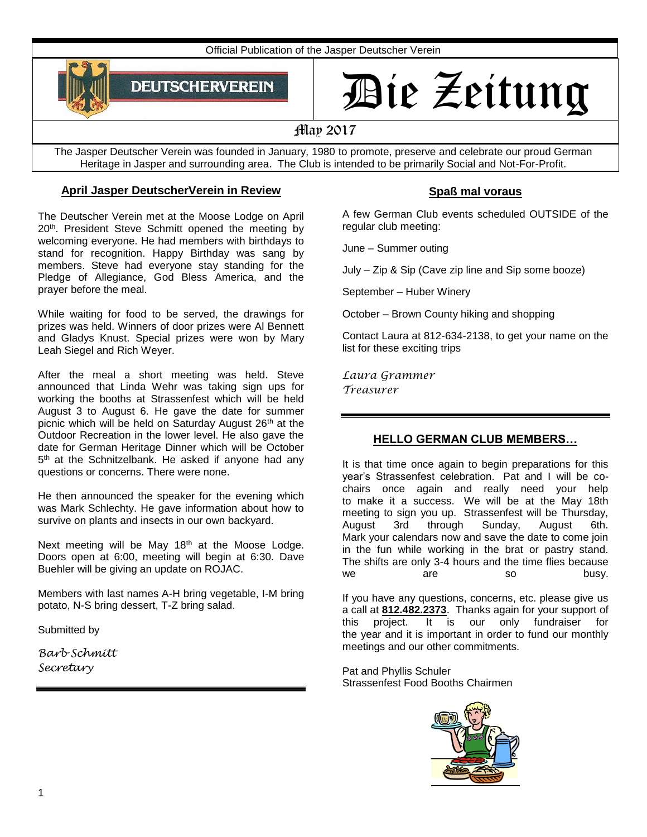Official Publication of the Jasper Deutscher Verein



# Die Zeitung

May 2017

The Jasper Deutscher Verein was founded in January, 1980 to promote, preserve and celebrate our proud German Heritage in Jasper and surrounding area. The Club is intended to be primarily Social and Not-For-Profit.

# **April Jasper DeutscherVerein in Review**

The Deutscher Verein met at the Moose Lodge on April 20<sup>th</sup>. President Steve Schmitt opened the meeting by welcoming everyone. He had members with birthdays to stand for recognition. Happy Birthday was sang by members. Steve had everyone stay standing for the Pledge of Allegiance, God Bless America, and the prayer before the meal.

While waiting for food to be served, the drawings for prizes was held. Winners of door prizes were Al Bennett and Gladys Knust. Special prizes were won by Mary Leah Siegel and Rich Weyer.

After the meal a short meeting was held. Steve announced that Linda Wehr was taking sign ups for working the booths at Strassenfest which will be held August 3 to August 6. He gave the date for summer picnic which will be held on Saturday August 26<sup>th</sup> at the Outdoor Recreation in the lower level. He also gave the date for German Heritage Dinner which will be October 5<sup>th</sup> at the Schnitzelbank. He asked if anyone had any questions or concerns. There were none.

He then announced the speaker for the evening which was Mark Schlechty. He gave information about how to survive on plants and insects in our own backyard.

Next meeting will be May 18<sup>th</sup> at the Moose Lodge. Doors open at 6:00, meeting will begin at 6:30. Dave Buehler will be giving an update on ROJAC.

Members with last names A-H bring vegetable, I-M bring potato, N-S bring dessert, T-Z bring salad.

Submitted by

*Barb Schmitt Secretary*

# **Spaß mal voraus**

A few German Club events scheduled OUTSIDE of the regular club meeting:

June – Summer outing

July – Zip & Sip (Cave zip line and Sip some booze)

September – Huber Winery

October – Brown County hiking and shopping

Contact Laura at 812-634-2138, to get your name on the list for these exciting trips

*Laura Grammer Treasurer*

### **HELLO GERMAN CLUB MEMBERS…**

It is that time once again to begin preparations for this year's Strassenfest celebration. Pat and I will be cochairs once again and really need your help to make it a success. We will be at the May 18th meeting to sign you up. Strassenfest will be Thursday, August 3rd through Sunday, August 6th. Mark your calendars now and save the date to come join in the fun while working in the brat or pastry stand. The shifts are only 3-4 hours and the time flies because we are so busy.

If you have any questions, concerns, etc. please give us a call at **[812.482.2373](tel:812.482.2373)**. Thanks again for your support of this project. It is our only fundraiser for the year and it is important in order to fund our monthly meetings and our other commitments.

Pat and Phyllis Schuler Strassenfest Food Booths Chairmen

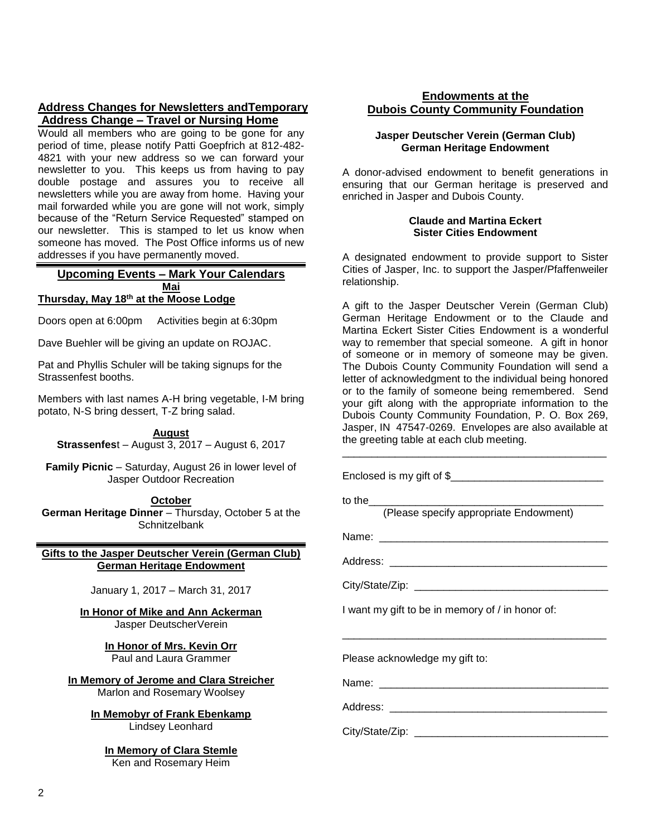#### **Address Changes for Newsletters andTemporary Address Change – Travel or Nursing Home**

Would all members who are going to be gone for any period of time, please notify Patti Goepfrich at 812-482- 4821 with your new address so we can forward your newsletter to you. This keeps us from having to pay double postage and assures you to receive all newsletters while you are away from home. Having your mail forwarded while you are gone will not work, simply because of the "Return Service Requested" stamped on our newsletter. This is stamped to let us know when someone has moved. The Post Office informs us of new addresses if you have permanently moved.

#### **Upcoming Events – Mark Your Calendars Mai Thursday, May 18th at the Moose Lodge**

Doors open at 6:00pm Activities begin at 6:30pm

Dave Buehler will be giving an update on ROJAC.

Pat and Phyllis Schuler will be taking signups for the Strassenfest booths.

Members with last names A-H bring vegetable, I-M bring potato, N-S bring dessert, T-Z bring salad.

#### **August**

**Strassenfes**t – August 3, 2017 – August 6, 2017

**Family Picnic** – Saturday, August 26 in lower level of Jasper Outdoor Recreation

#### **October**

**German Heritage Dinner** – Thursday, October 5 at the **Schnitzelbank** 

**Gifts to the Jasper Deutscher Verein (German Club) German Heritage Endowment**

January 1, 2017 – March 31, 2017

**In Honor of Mike and Ann Ackerman**

Jasper DeutscherVerein

**In Honor of Mrs. Kevin Orr** Paul and Laura Grammer

**In Memory of Jerome and Clara Streicher** Marlon and Rosemary Woolsey

> **In Memobyr of Frank Ebenkamp** Lindsey Leonhard

**In Memory of Clara Stemle** Ken and Rosemary Heim

#### **Endowments at the Dubois County Community Foundation**

#### **Jasper Deutscher Verein (German Club) German Heritage Endowment**

A donor-advised endowment to benefit generations in ensuring that our German heritage is preserved and enriched in Jasper and Dubois County.

#### **Claude and Martina Eckert Sister Cities Endowment**

A designated endowment to provide support to Sister Cities of Jasper, Inc. to support the Jasper/Pfaffenweiler relationship.

A gift to the Jasper Deutscher Verein (German Club) German Heritage Endowment or to the Claude and Martina Eckert Sister Cities Endowment is a wonderful way to remember that special someone. A gift in honor of someone or in memory of someone may be given. The Dubois County Community Foundation will send a letter of acknowledgment to the individual being honored or to the family of someone being remembered. Send your gift along with the appropriate information to the Dubois County Community Foundation, P. O. Box 269, Jasper, IN 47547-0269. Envelopes are also available at the greeting table at each club meeting.

\_\_\_\_\_\_\_\_\_\_\_\_\_\_\_\_\_\_\_\_\_\_\_\_\_\_\_\_\_\_\_\_\_\_\_\_\_\_\_\_\_\_\_\_\_

| to the<br>(Please specify appropriate Endowment) |
|--------------------------------------------------|
|                                                  |
|                                                  |
|                                                  |
| I want my gift to be in memory of / in honor of: |
| Please acknowledge my gift to:                   |
|                                                  |
|                                                  |
|                                                  |